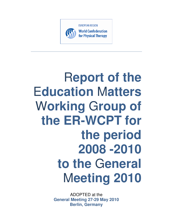

# R**eport of the**  E**ducation** M**atters**  W**orking** G**roup of the ER-WCPT for the period 2008 -2010 to the** G**eneral**  M**eeting 2010**

ADOPTED at the **General Meeting 27-29 May 2010 Berlin, Germany**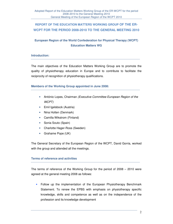# **REPORT OF THE EDUCATION MATTERS WORKING GROUP OF THE ER-WCPT FOR THE PERIOD 2008-2010 TO THE GENERAL MEETING 2010**

# **European Region of the World Confederation for Physical Therapy (WCPT) Education Matters WG**

#### **Introduction:**

The main objectives of the Education Matters Working Group are to promote the quality of physiotherapy education in Europe and to contribute to facilitate the reciprocity of recognition of physiotherapy qualifications.

#### **Members of the Working Group appointed in June 2008:**

- António Lopes, Chairman *(Executive Committee European Region of the* WCPT)
- Emil Igelsbock (Austria)
- Nina Holten (Denmark)
- Camilla Wikstrom (Finland)
- Sonia Souto (Spain)
- Charlotte Hager-Ross (Sweden)
- Grahame Pope (UK)

The General Secretary of the European Region of the WCPT, David Gorria, worked with the group and attended all the meetings.

#### **Terms of reference and activities**

The terms of reference of the Working Group for the period of 2008 – 2010 were agreed at the general meeting 2008 as follows:

• Follow up the implementation of the European Physiotherapy Benchmark Statement. To renew the EPBS with emphasis on physiotherapy specific knowledge, skills and competence as well as on the independence of the profession and its knowledge development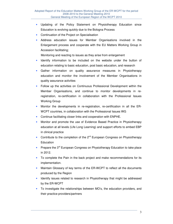- Updating of the Policy Statement on Physiotherapy Education since Education is evolving quickly due to the Bologna Process
- Continuation of the Project on Specialisation
- Address education issues for Member Organisations involved in the Enlargement process and cooperate with the EU Matters Working Group in Accession facilitating;

Monitoring and reacting to issues as they arise from enlargement

- Identify information to be included on the website under the button of education relating to basic education, post basic education, and research
- Gather information on quality assurance measures in Physiotherapy education and monitor the involvement of the Member Organisations in quality assurance activities
- Follow up the activities on Continuous Professional Development within the Member Organisations, and continue to monitor developments in reregistration, re-certification in collaboration with the Professional Issues Working Group
- Monitor the developments in re-registration, re-certification in all the ER-WCPT countries, in collaboration with the Professional Issues WG
- Continue facilitating closer links and cooperation with ENPHE.
- Monitor and promote the use of Evidence Based Practice in Physiotherapy education at all levels (Life Long Learning) and support efforts to embed EBP in clinical practice
- Contribute to the completion of the  $2^{nd}$  European Congress on Physiotherapy **Education**
- Prepare the 3<sup>rd</sup> European Congress on Physiotherapy Education to take place in 2012.
- To complete the Pain in the back project and make recommendations for its implementation.
- Maintain Glossary of key terms of the ER-WCPT to reflect all the documents produced by the Region
- Identify issues related to research in Physiotherapy that might be addressed by the ER-WCPT
- To investigate the relationships between MO's, the education providers, and their practice providers/partners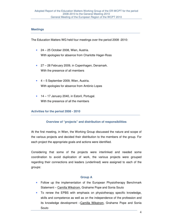#### **Meetings**

The Education Matters WG held four meetings over the period 2008 -2010:

- 24 25 October 2008, Wien, Austria. With apologies for absence from Charlotte Hager-Ross
- 27 28 February 2009, in Copenhagen, Denamark. With the presence of all members
- 4 5 September 2009, Wien, Austria. With apologies for absence from António Lopes
- 14 17 January 2040, in Estoril, Portugal. With the presence of all the members

# **Activities for the period 2008 - 2010**

# **Overview of "projects" and distribution of responsibilities**

At the first meeting, in Wien, the Working Group discussed the nature and scope of the various projects and decided their distribution to the members of the group. For each project the appropriate goals and actions were identified.

Considering that some of the projects were interlinked and needed some coordination to avoid duplication of work, the various projects were grouped regarding their connections and leaders (underlined) were assigned to each of the groups:

# **Group A**

- Follow up the implementation of the European Physiotherapy Benchmark Statement - Camilla Wikstrom, Grahame Pope and Sonia Souto
- To renew the EPBS with emphasis on physiotherapy specific knowledge, skills and competence as well as on the independence of the profession and its knowledge development -Camilla Wikstrom, Grahame Pope and Sonia Souto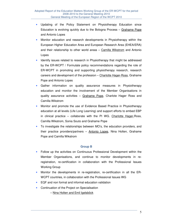- Updating of the Policy Statement on Physiotherapy Education since Education is evolving quickly due to the Bologna Process – Grahame Pope and Antonio Lopes
- Monitor education and research developments in Physiotherapy within the European Higher Education Area and European Research Area (EHEA/ERA) and their relationship to other world areas – Camilla Wikstrom and Antonio Lopes
- Identify issues related to research in Physiotherapy that might be addressed by the ER-WCPT / Formulate policy recommendations regarding the role of ER-WCPT in promoting and supporting physiotherapy research, research careers and development of the profession – Charlotte Hager-Ross, Grahame Pope and Antonio Lopes
- Gather information on quality assurance measures in Physiotherapy education and monitor the involvement of the Member Organisations in quality assurance activities - Grahame Pope, Charlote Hager Ross and Camilla Wikstrom
- Monitor and promote the use of Evidence Based Practice in Physiotherapy education at all levels (Life Long Learning) and support efforts to embed EBP in clinical practice – collaborate with the PI WG. Charlotte Hager-Ross, Camilla Wikstrom, Sonia Souto and Grahame Pope
- To investigate the relationships between MO's, the education providers, and their practice providers/partners – Antonio Lopes, Nina Holten, Grahame Pope and Camilla Wikstrom

#### **Group B**

- Follow up the activities on Continuous Professional Development within the Member Organisations, and continue to monitor developments in reregistration, re-certification in collaboration with the Professional Issues Working Group
- Monitor the developments in re-registration, re-certification in all the ER-WCPT countries, in collaboration with the Professional Issues WG
- EQF and non formal and informal education validation
- Continuation of the Project on Specialisation
	- Nina Holten and Emil Igelsböck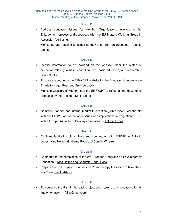#### **Group C**

Address education issues for Member Organisations involved in the Enlargement process and cooperate with the EU Matters Working Group in Accession facilitating;

Monitoring and reacting to issues as they arise from enlargement – Antonio Lopes

# **Group D**

- Identify information to be included on the website under the button of education relating to basic education, post basic education, and research – Sonia Souto
- To create a button on the ER-WCPT website for the Education Congresses Charlotte Hager Ross and Emil Igelsböck
- Maintain Glossary of key terms of the ER-WCPT to reflect all the documents produced by the Region – Sonia Souto

# **Group E**

• Common Platform and Internal Market Information (IMI) project – collaborate with the EU WG on Educational issues with implications for migration of PTs within Europe. (Activities / Delivery of services) - Antonio Lopes

# **Group F**

• Continue facilitating closer links and cooperation with ENPHE. – Antonio Lopes, Nina Holten, Grahame Pope and Camilla Wikstrom

# **Group G**

- Contribute to the completion of the 2<sup>nd</sup> European Congress on Physiotherapy Education – Nina Holten and Charlotte Hager Ross
- Prepare the 3<sup>rd</sup> European Congress on Physiotherapy Education to take place in 2012 – Emil Igelsböck

# **Group H**

• To complete the Pain in the back project and make recommendations for its implementation. - All WG members

6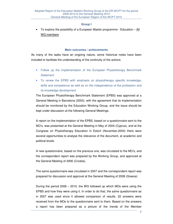#### **Group I**

To explore the possibility of a European Master programme - Education  $-\underline{All}$ WG members

#### **Main outcomes / achievements**

As many of the tasks have an ongoing nature, some historical notes have been included to facilitate the understanding of the continuity of the actions.

- Follow up the implementation of the European Physiotherapy Benchmark **Statement**
- To renew the EPBS with emphasis on physiotherapy specific knowledge, skills and competence as well as on the independence of the profession and its knowledge development

The European Physiotherapy Benchmark Statement (EPBS) was approved at a General Meeting in Barcelona (2003), with the agreement that its implementation should be monitored by the Education Working Group, and the issue should be kept under discussion at the following General Meetings.

A report on the implementation of the EPBS, based on a questionnaire sent to the MO's, was presented at the General Meeting in May of 2004 (Cyprus), and at the Congress on Physiotherapy Education in Estoril (November,2004) there were several opportunities to analyse the relevance of the document, at academic and political levels.

A new questionnaire, based on the previous one, was circulated to the MO's, and the correspondent report was prepared by the Working Group, and approved at the General Meeting of 2006 (Croatia).

The same questionnaire was circulated in 2007 and the correspondent report was prepared for discussion and approval at the General Meeting of 2008 (Greece)

During the period 2008 – 2010, the WG followed up which MOs were using the EPBS and how they were using it. In order to do that, the same questionnaire as in 2007 was used since it allowed comparison of results. 22 answers were received from the MOs to the questionnaire sent to them. Based on the answers a report has been prepared as a picture of the trends of the Member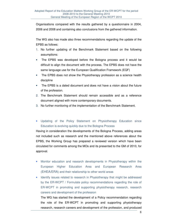Organisations compared with the results gathered by a questionnaire in 2004, 2006 and 2008 and containing also conclusions from the gathered information.

The WG also has made also three recommendations regarding the update of the EPBS as follows:

- 1. No further updating of the Benchmark Statement based on the following assumptions:
- The EPBS was developed before the Bologna process and it would be difficult to align the document with the process. The EPBS does not have the same language use for the European Qualification Framework (EQF)
- The EPBS does not show the Physiotherapy profession as a science health discipline
- The EPBS is a dated document and does not have a vision about the future of the profession.
- 2. The Benchmark Statement should remain accessible and as a reference document aligned with more contemporary documents.
- 3. No further monitoring of the implementation of the Benchmark Statement.
- Updating of the Policy Statement on Physiotherapy Education since Education is evolving quickly due to the Bologna Process

Having in consideration the developments of the Bologna Process, adding areas not included such as research and the mentioned above references about the EPBS, the Working Group has prepared a reviewed version which have been circulated for comments among the MOs and its presented to the GM of 2010, for approval.

- Monitor education and research developments in Physiotherapy within the European Higher Education Area and European Research Area (EHEA/ERA) and their relationship to other world areas
- Identify issues related to research in Physiotherapy that might be addressed by the ER-WCPT / Formulate policy recommendations regarding the role of ER-WCPT in promoting and supporting physiotherapy research, research careers and development of the profession

The WG has started the development of a Policy recommendation regarding the role of the ER-WCPT in promoting and supporting physiotherapy research, research careers and development of the profession, and produced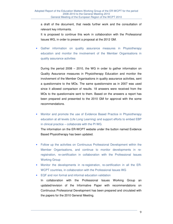a draft of the document, that needs further work and the consultation of relevant key informants.

It is proposed to continue this work in collaboration with the Professional Issues WG, in order to present a proposal at the 2012 GM.

Gather information on quality assurance measures in Physiotherapy education and monitor the involvement of the Member Organisations in quality assurance activities

During the period 2008 – 2010, the WG in order to gather information on Quality Assurance measures in Physiotherapy Education and monitor the involvement of the Member Organisations in quality assurance activities, sent a questionnaire to the MOs. The same questionnaire as in 2007 was used since it allowed comparison of results. 18 answers were received from the MOs to the questionnaire sent to them. Based on the answers a report has been prepared and presented to the 2010 GM for approval with the some recommendations.

- Monitor and promote the use of Evidence Based Practice in Physiotherapy education at all levels (Life Long Learning) and support efforts to embed EBP in clinical practice – collaborate with the PI WG. The information on the ER-WCPT website under the button named Evidence Based Physiotherapy has been updated.
- Follow up the activities on Continuous Professional Development within the Member Organisations, and continue to monitor developments in reregistration, re-certification in collaboration with the Professional Issues Working Group
- Monitor the developments in re-registration, re-certification in all the ER-WCPT countries, in collaboration with the Professional Issues WG
- EQF and non formal and informal education validation In collaboration with the Professional Issues Working Group an updated/revision of the Informative Paper with recommendations on Continuous Professional Development has been prepared and circulated with the papers for the 2010 General Meeting.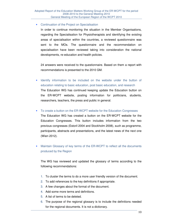#### • Continuation of the Project on Specialisation

In order to continue monitoring the situation in the Member Organisations, regarding the Specialisation for Physiotherapists and identifying the existing areas of specialisation within the countries, a reviewed questionnaire was sent to the MOs. The questionnaire and the recommendation on specialisation have been reviewed taking into consideration the national developments, re-education and health policies.

24 answers were received to the questionnaire. Based on them a report with recommendations is presented to the 2010 GM.

- Identify information to be included on the website under the button of education relating to basic education, post basic education, and research The Education WG has continued keeping update the Education button on the ER-WCPT website, posting information for politicians, students, researchers, teachers, the press and public in general.
- To create a button on the ER-WCPT website for the Education Congresses The Education WG has created a button on the ER-WCPT website for the Education Congresses. This button includes information from the two previous congresses (Estoril 2004 and Stockholm 2008), such as programme, participants, abstracts and presentations, and the latest news of the next one (Wien 2012).
- Maintain Glossary of key terms of the ER-WCPT to reflect all the documents produced by the Region

The WG has reviewed and updated the glossary of terms according to the following recommendations:

- 1. To cluster the terms to do a more user friendly version of the document.
- 2. To add references to the key definitions if appropriate.
- 3. A few changes about the format of the document.
- 4. Add some more terms and definitions.
- 5. A list of terms to be deleted.
- 6. The purpose of the regional glossary is to include the definitions needed for the regional documents. It is not a dictionary.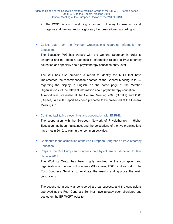- 7. The WCPT is also developing a common glossary for use across all regions and the draft regional glossary has been aligned according to it.
- Collect data from the Member Organisations regarding Information on **Education**

The Education WG has worked with the General Secretary in order to elaborate and to update a database of information related to Physiotherapy education and specially about physiotherapy education entry level.

The WG has also prepared a report to identify the MO's that have implemented the recommendation adopted at the General Meeting in 2004, regarding the display in English, on the home page of the Member Organisations, of the relevant information about physiotherapy education. A report was presented at the General Meeting 2006 (Croatia) and 2088 (Greece). A similar report has been prepared to be presented at the General Meeting 2010.

• Continue facilitating closer links and cooperation with ENPHE.

The cooperation with the European Network of Physiotherapy in Higher Education has been maintained, and the delegations of the two organisations have met in 2010, to plan further common activities.

- Contribute to the completion of the 2nd European Congress on Physiotherapy **Education**
- Prepare the 3rd European Congress on Physiotherapy Education to take place in 2012

The Working Group has been highly involved in the conception and organisation of the second congress (Stockholm, 2008) and as well in the Post Congress Seminar to evaluate the results and approve the main conclusions.

The second congress was considered a great success, and the conclusions approved at the Post Congress Seminar have already been circulated and posted on the ER-WCPT website.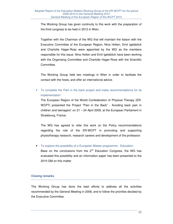The Working Group has given continuity to this work with the preparation of the third congress to be held in 2012 in Wien.

Together with the Chairman of the WG that will maintain the liaison with the Executive Committee of the European Region, Nina Holten, Emil Igelsböck and Charlotte Hager-Ross were appointed by the WG as the members responsible for this issue. Nina Holten and Emil Igelsböck have been working with the Organising Committee and Charlotte Hager-Ross with the Scientific Committee.

The Working Group held two meetings in Wien in order to facilitate the contact with the hosts, and offer an international advice.

• To complete the Pain in the back project and make recommendations for its implementation

The European Region of the World Confederation of Physical Therapy (ER-WCPT) presented the Project "Pain in the Back" - Avoiding back pain in children and teenagers" on 21 – 24 April 2009, at the European Parliament in Strasbourg, France.

The WG has agreed to refer this work on the Policy recommendations regarding the role of the ER-WCPT in promoting and supporting physiotherapy research, research careers and development of the profession

• To explore the possibility of a European Master programme - Education

Base on the conclusions from the  $2^{nd}$  Education Congress, the WG has evaluated this possibility and an information paper has been presented to the 2010 GM on this matter

# **Closing remarks**

The Working Group has done the best efforts to address all the activities recommended by the General Meeting in 2008, and to follow the priorities decided by the Executive Committee.